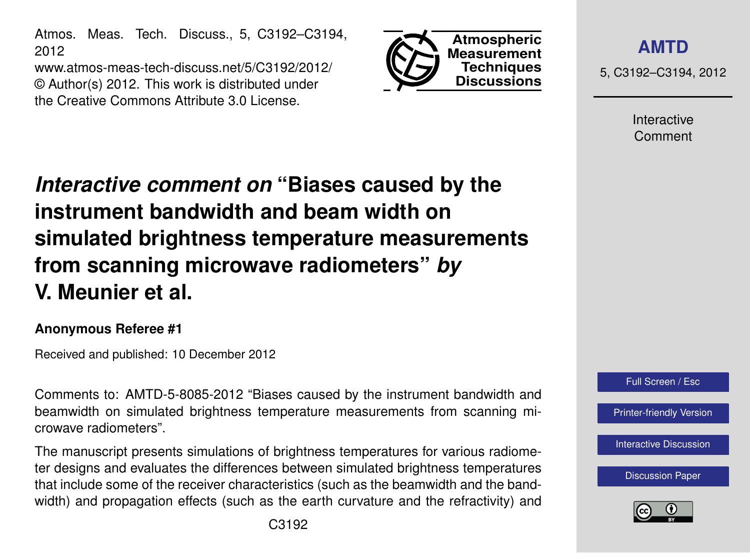Atmos. Meas. Tech. Discuss., 5, C3192–C3194, 2012

www.atmos-meas-tech-discuss.net/5/C3192/2012/ © Author(s) 2012. This work is distributed under the Creative Commons Attribute 3.0 License.



**[AMTD](http://www.atmos-meas-tech-discuss.net)**

5, C3192–C3194, 2012

Interactive Comment

## *Interactive comment on* **"Biases caused by the instrument bandwidth and beam width on simulated brightness temperature measurements from scanning microwave radiometers"** *by* **V. Meunier et al.**

## **Anonymous Referee #1**

Received and published: 10 December 2012

Comments to: AMTD-5-8085-2012 "Biases caused by the instrument bandwidth and beamwidth on simulated brightness temperature measurements from scanning microwave radiometers".

The manuscript presents simulations of brightness temperatures for various radiometer designs and evaluates the differences between simulated brightness temperatures that include some of the receiver characteristics (such as the beamwidth and the bandwidth) and propagation effects (such as the earth curvature and the refractivity) and



Full Screen / Esc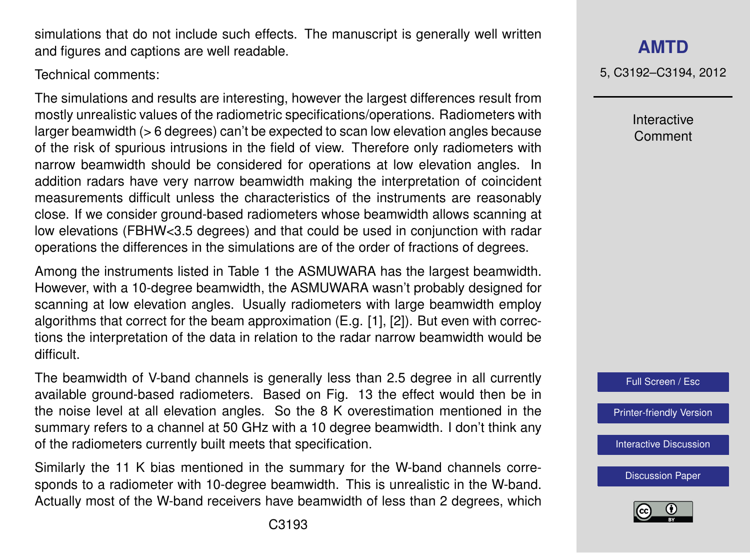C3193

simulations that do not include such effects. The manuscript is generally well written and figures and captions are well readable.

Technical comments:

The simulations and results are interesting, however the largest differences result from mostly unrealistic values of the radiometric specifications/operations. Radiometers with larger beamwidth (> 6 degrees) can't be expected to scan low elevation angles because of the risk of spurious intrusions in the field of view. Therefore only radiometers with narrow beamwidth should be considered for operations at low elevation angles. In addition radars have very narrow beamwidth making the interpretation of coincident measurements difficult unless the characteristics of the instruments are reasonably close. If we consider ground-based radiometers whose beamwidth allows scanning at low elevations (FBHW<3.5 degrees) and that could be used in conjunction with radar operations the differences in the simulations are of the order of fractions of degrees.

Among the instruments listed in Table 1 the ASMUWARA has the largest beamwidth. However, with a 10-degree beamwidth, the ASMUWARA wasn't probably designed for scanning at low elevation angles. Usually radiometers with large beamwidth employ algorithms that correct for the beam approximation (E.g. [1], [2]). But even with corrections the interpretation of the data in relation to the radar narrow beamwidth would be difficult.

The beamwidth of V-band channels is generally less than 2.5 degree in all currently available ground-based radiometers. Based on Fig. 13 the effect would then be in the noise level at all elevation angles. So the 8 K overestimation mentioned in the summary refers to a channel at 50 GHz with a 10 degree beamwidth. I don't think any of the radiometers currently built meets that specification.

Similarly the 11 K bias mentioned in the summary for the W-band channels corresponds to a radiometer with 10-degree beamwidth. This is unrealistic in the W-band. Actually most of the W-band receivers have beamwidth of less than 2 degrees, which

## **[AMTD](http://www.atmos-meas-tech-discuss.net)**

5, C3192–C3194, 2012

Interactive Comment

Full Screen / Esc

[Printer-friendly Version](http://www.atmos-meas-tech-discuss.net/5/C3192/2012/amtd-5-C3192-2012-print.pdf)

[Interactive Discussion](http://www.atmos-meas-tech-discuss.net/5/8085/2012/amtd-5-8085-2012-discussion.html)

[Discussion Paper](http://www.atmos-meas-tech-discuss.net/5/8085/2012/amtd-5-8085-2012.pdf)